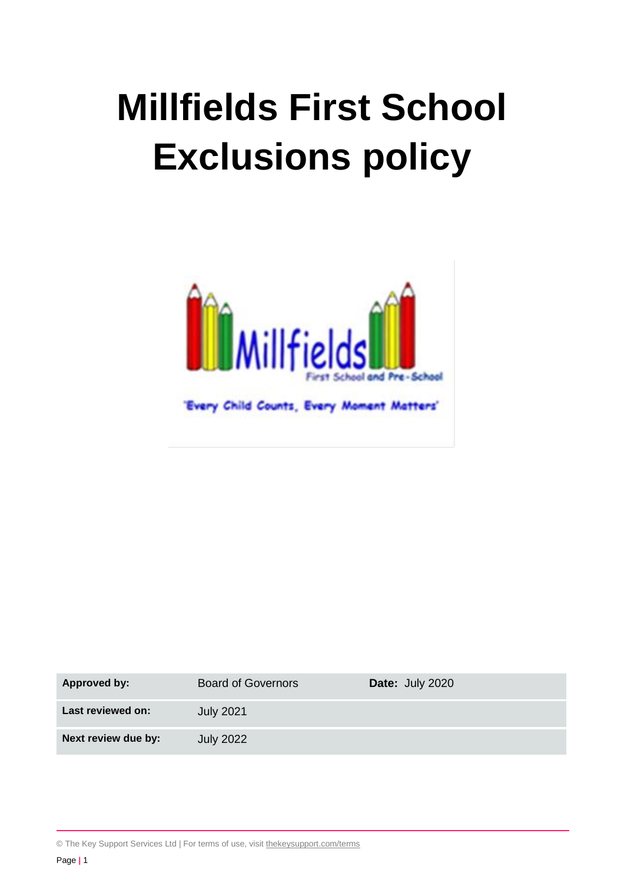# **Millfields First School Exclusions policy**



| <b>Approved by:</b> | <b>Board of Governors</b> | Date: July 2020 |
|---------------------|---------------------------|-----------------|
| Last reviewed on:   | <b>July 2021</b>          |                 |
| Next review due by: | <b>July 2022</b>          |                 |

© The Key Support Services Ltd | For terms of use, visit [thekeysupport.com/terms](https://thekeysupport.com/terms-of-use)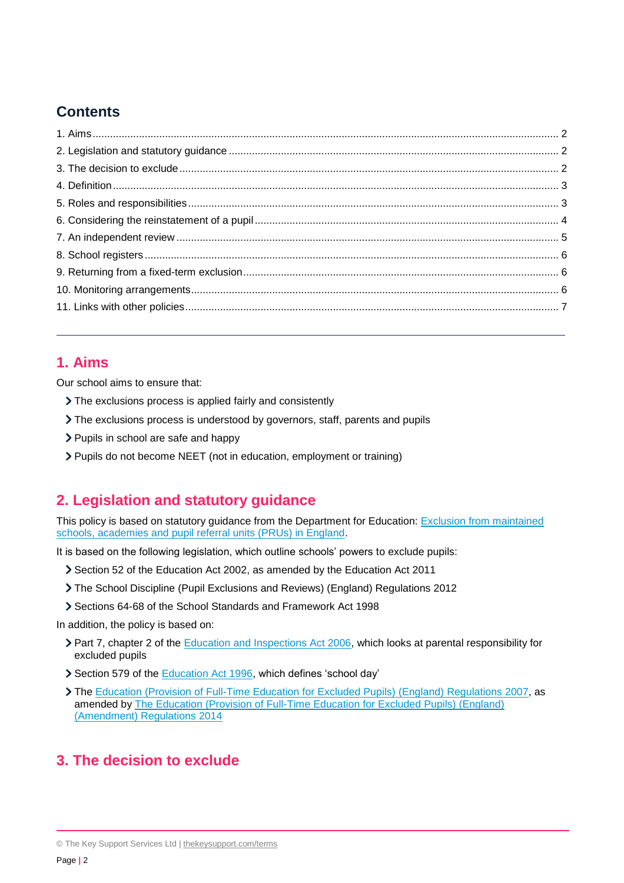# **Contents**

# **1. Aims**

Our school aims to ensure that:

- The exclusions process is applied fairly and consistently
- The exclusions process is understood by governors, staff, parents and pupils
- > Pupils in school are safe and happy
- Pupils do not become NEET (not in education, employment or training)

# **2. Legislation and statutory guidance**

This policy is based on statutory guidance from the Department for Education: Exclusion from maintained [schools, academies and pupil referral units \(PRUs\) in England.](https://www.gov.uk/government/publications/school-exclusion)

It is based on the following legislation, which outline schools' powers to exclude pupils:

- Section 52 of the [Education Act 2002,](http://www.legislation.gov.uk/ukpga/2002/32/section/52) as amended by the [Education Act 2011](http://www.legislation.gov.uk/ukpga/2011/21/contents/enacted)
- [The School Discipline \(Pupil Exclusions and Reviews\) \(England\) Regulations 2012](http://www.legislation.gov.uk/uksi/2012/1033/made)
- Sections 64-68 of the [School Standards and Framework Act 1998](http://www.legislation.gov.uk/ukpga/1998/31)

In addition, the policy is based on:

- ▶ Part 7, chapter 2 of the [Education and Inspections Act 2006,](http://www.legislation.gov.uk/ukpga/2006/40/part/7/chapter/2) which looks at parental responsibility for excluded pupils
- Section 579 of the [Education Act 1996,](http://www.legislation.gov.uk/ukpga/1996/56/section/579) which defines 'school day'
- The [Education \(Provision of Full-Time Education for Excluded Pupils\)](http://www.legislation.gov.uk/uksi/2007/1870/contents/made) (England) Regulations 2007, as amended b[y The Education \(Provision of Full-Time Education for Excluded Pupils\) \(England\)](http://www.legislation.gov.uk/uksi/2014/3216/contents/made)  [\(Amendment\) Regulations 2014](http://www.legislation.gov.uk/uksi/2014/3216/contents/made)

# **3. The decision to exclude**

<sup>©</sup> The Key Support Services Ltd | [thekeysupport.com/terms](https://thekeysupport.com/terms-of-use)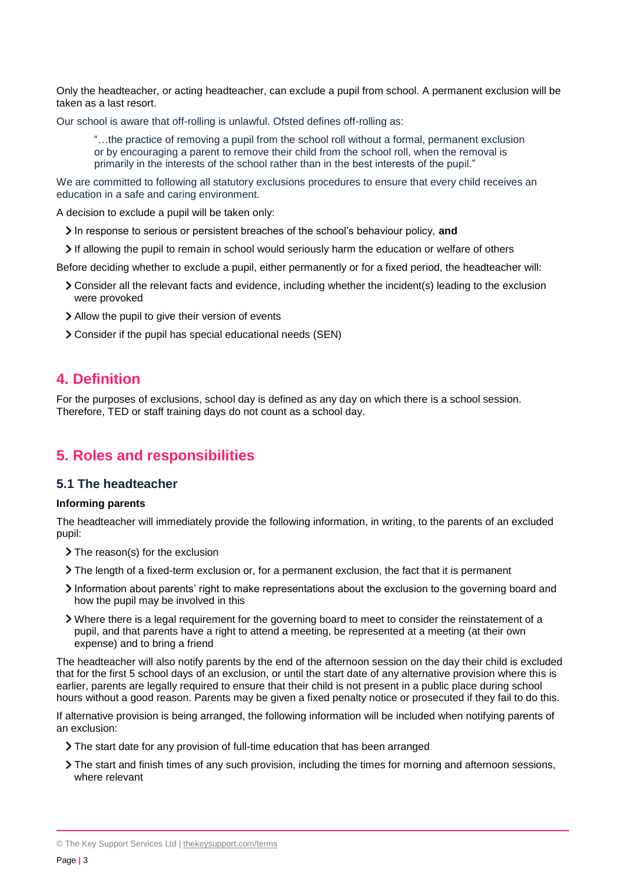Only the headteacher, or acting headteacher, can exclude a pupil from school. A permanent exclusion will be taken as a last resort.

Our school is aware that off-rolling is unlawful. Ofsted defines off-rolling as:

"…the practice of removing a pupil from the school roll without a formal, permanent exclusion or by encouraging a parent to remove their child from the school roll, when the removal is primarily in the interests of the school rather than in the best interests of the pupil."

We are committed to following all statutory exclusions procedures to ensure that every child receives an education in a safe and caring environment.

A decision to exclude a pupil will be taken only:

- In response to serious or persistent breaches of the school's behaviour policy, **and**
- If allowing the pupil to remain in school would seriously harm the education or welfare of others

Before deciding whether to exclude a pupil, either permanently or for a fixed period, the headteacher will:

- Consider all the relevant facts and evidence, including whether the incident(s) leading to the exclusion were provoked
- Allow the pupil to give their version of events
- Consider if the pupil has special educational needs (SEN)

### **4. Definition**

For the purposes of exclusions, school day is defined as any day on which there is a school session. Therefore, TED or staff training days do not count as a school day.

# **5. Roles and responsibilities**

#### **5.1 The headteacher**

#### **Informing parents**

The headteacher will immediately provide the following information, in writing, to the parents of an excluded pupil:

- > The reason(s) for the exclusion
- The length of a fixed-term exclusion or, for a permanent exclusion, the fact that it is permanent
- Information about parents' right to make representations about the exclusion to the governing board and how the pupil may be involved in this
- Where there is a legal requirement for the governing board to meet to consider the reinstatement of a pupil, and that parents have a right to attend a meeting, be represented at a meeting (at their own expense) and to bring a friend

The headteacher will also notify parents by the end of the afternoon session on the day their child is excluded that for the first 5 school days of an exclusion, or until the start date of any alternative provision where this is earlier, parents are legally required to ensure that their child is not present in a public place during school hours without a good reason. Parents may be given a fixed penalty notice or prosecuted if they fail to do this.

If alternative provision is being arranged, the following information will be included when notifying parents of an exclusion:

- The start date for any provision of full-time education that has been arranged
- The start and finish times of any such provision, including the times for morning and afternoon sessions, where relevant

© The Key Support Services Ltd | [thekeysupport.com/terms](https://thekeysupport.com/terms-of-use)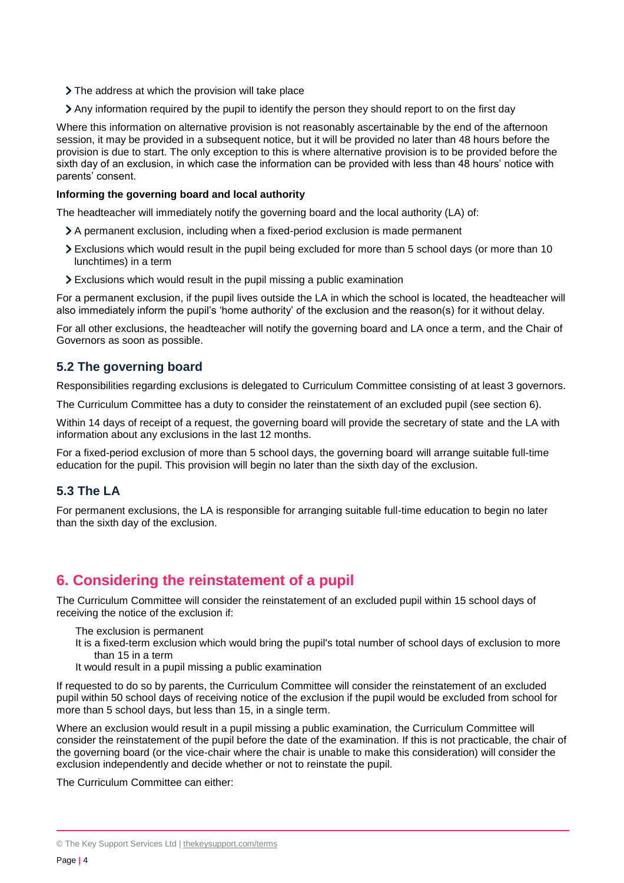- > The address at which the provision will take place
- Any information required by the pupil to identify the person they should report to on the first day

Where this information on alternative provision is not reasonably ascertainable by the end of the afternoon session, it may be provided in a subsequent notice, but it will be provided no later than 48 hours before the provision is due to start. The only exception to this is where alternative provision is to be provided before the sixth day of an exclusion, in which case the information can be provided with less than 48 hours' notice with parents' consent.

#### **Informing the governing board and local authority**

The headteacher will immediately notify the governing board and the local authority (LA) of:

- A permanent exclusion, including when a fixed-period exclusion is made permanent
- Exclusions which would result in the pupil being excluded for more than 5 school days (or more than 10 lunchtimes) in a term
- Exclusions which would result in the pupil missing a public examination

For a permanent exclusion, if the pupil lives outside the LA in which the school is located, the headteacher will also immediately inform the pupil's 'home authority' of the exclusion and the reason(s) for it without delay.

For all other exclusions, the headteacher will notify the governing board and LA once a term, and the Chair of Governors as soon as possible.

#### **5.2 The governing board**

Responsibilities regarding exclusions is delegated to Curriculum Committee consisting of at least 3 governors.

The Curriculum Committee has a duty to consider the reinstatement of an excluded pupil (see section 6).

Within 14 days of receipt of a request, the governing board will provide the secretary of state and the LA with information about any exclusions in the last 12 months.

For a fixed-period exclusion of more than 5 school days, the governing board will arrange suitable full-time education for the pupil. This provision will begin no later than the sixth day of the exclusion.

#### **5.3 The LA**

For permanent exclusions, the LA is responsible for arranging suitable full-time education to begin no later than the sixth day of the exclusion.

# **6. Considering the reinstatement of a pupil**

The Curriculum Committee will consider the reinstatement of an excluded pupil within 15 school days of receiving the notice of the exclusion if:

- The exclusion is permanent
- It is a fixed-term exclusion which would bring the pupil's total number of school days of exclusion to more than 15 in a term
- It would result in a pupil missing a public examination

If requested to do so by parents, the Curriculum Committee will consider the reinstatement of an excluded pupil within 50 school days of receiving notice of the exclusion if the pupil would be excluded from school for more than 5 school days, but less than 15, in a single term.

Where an exclusion would result in a pupil missing a public examination, the Curriculum Committee will consider the reinstatement of the pupil before the date of the examination. If this is not practicable, the chair of the governing board (or the vice-chair where the chair is unable to make this consideration) will consider the exclusion independently and decide whether or not to reinstate the pupil.

The Curriculum Committee can either:

<sup>©</sup> The Key Support Services Ltd | [thekeysupport.com/terms](https://thekeysupport.com/terms-of-use)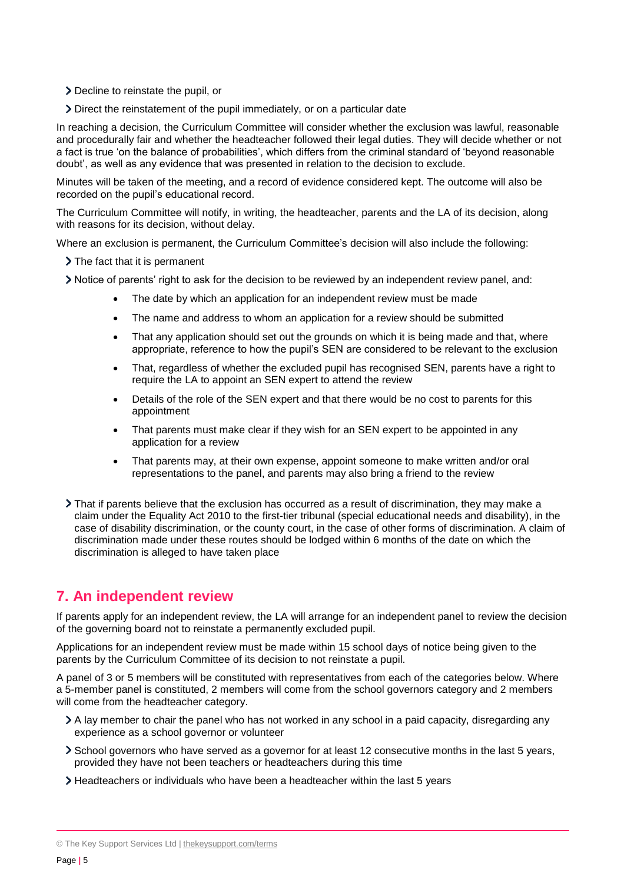- Decline to reinstate the pupil, or
- Direct the reinstatement of the pupil immediately, or on a particular date

In reaching a decision, the Curriculum Committee will consider whether the exclusion was lawful, reasonable and procedurally fair and whether the headteacher followed their legal duties. They will decide whether or not a fact is true 'on the balance of probabilities', which differs from the criminal standard of 'beyond reasonable doubt', as well as any evidence that was presented in relation to the decision to exclude.

Minutes will be taken of the meeting, and a record of evidence considered kept. The outcome will also be recorded on the pupil's educational record.

The Curriculum Committee will notify, in writing, the headteacher, parents and the LA of its decision, along with reasons for its decision, without delay.

Where an exclusion is permanent, the Curriculum Committee's decision will also include the following:

> The fact that it is permanent

- Notice of parents' right to ask for the decision to be reviewed by an independent review panel, and:
	- The date by which an application for an independent review must be made
	- The name and address to whom an application for a review should be submitted
	- That any application should set out the grounds on which it is being made and that, where appropriate, reference to how the pupil's SEN are considered to be relevant to the exclusion
	- That, regardless of whether the excluded pupil has recognised SEN, parents have a right to require the LA to appoint an SEN expert to attend the review
	- Details of the role of the SEN expert and that there would be no cost to parents for this appointment
	- That parents must make clear if they wish for an SEN expert to be appointed in any application for a review
	- That parents may, at their own expense, appoint someone to make written and/or oral representations to the panel, and parents may also bring a friend to the review
- That if parents believe that the exclusion has occurred as a result of discrimination, they may make a claim under the Equality Act 2010 to the first-tier tribunal (special educational needs and disability), in the case of disability discrimination, or the county court, in the case of other forms of discrimination. A claim of discrimination made under these routes should be lodged within 6 months of the date on which the discrimination is alleged to have taken place

# **7. An independent review**

If parents apply for an independent review, the LA will arrange for an independent panel to review the decision of the governing board not to reinstate a permanently excluded pupil.

Applications for an independent review must be made within 15 school days of notice being given to the parents by the Curriculum Committee of its decision to not reinstate a pupil.

A panel of 3 or 5 members will be constituted with representatives from each of the categories below. Where a 5-member panel is constituted, 2 members will come from the school governors category and 2 members will come from the headteacher category.

- A lay member to chair the panel who has not worked in any school in a paid capacity, disregarding any experience as a school governor or volunteer
- School governors who have served as a governor for at least 12 consecutive months in the last 5 years, provided they have not been teachers or headteachers during this time
- Headteachers or individuals who have been a headteacher within the last 5 years

<sup>©</sup> The Key Support Services Ltd | [thekeysupport.com/terms](https://thekeysupport.com/terms-of-use)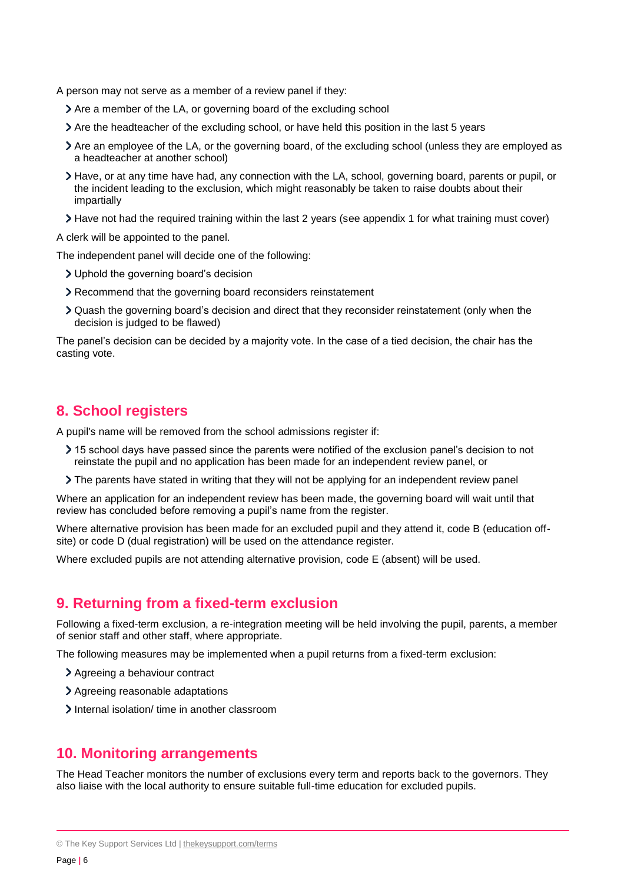A person may not serve as a member of a review panel if they:

- Are a member of the LA, or governing board of the excluding school
- Are the headteacher of the excluding school, or have held this position in the last 5 years
- Are an employee of the LA, or the governing board, of the excluding school (unless they are employed as a headteacher at another school)
- Have, or at any time have had, any connection with the LA, school, governing board, parents or pupil, or the incident leading to the exclusion, which might reasonably be taken to raise doubts about their impartially
- Have not had the required training within the last 2 years (see appendix 1 for what training must cover)

A clerk will be appointed to the panel.

The independent panel will decide one of the following:

- Uphold the governing board's decision
- Recommend that the governing board reconsiders reinstatement
- Quash the governing board's decision and direct that they reconsider reinstatement (only when the decision is judged to be flawed)

The panel's decision can be decided by a majority vote. In the case of a tied decision, the chair has the casting vote.

## **8. School registers**

A pupil's name will be removed from the school admissions register if:

- 15 school days have passed since the parents were notified of the exclusion panel's decision to not reinstate the pupil and no application has been made for an independent review panel, or
- The parents have stated in writing that they will not be applying for an independent review panel

Where an application for an independent review has been made, the governing board will wait until that review has concluded before removing a pupil's name from the register.

Where alternative provision has been made for an excluded pupil and they attend it, code B (education offsite) or code D (dual registration) will be used on the attendance register.

Where excluded pupils are not attending alternative provision, code E (absent) will be used.

## **9. Returning from a fixed-term exclusion**

Following a fixed-term exclusion, a re-integration meeting will be held involving the pupil, parents, a member of senior staff and other staff, where appropriate.

The following measures may be implemented when a pupil returns from a fixed-term exclusion:

- Agreeing a behaviour contract
- > Agreeing reasonable adaptations
- Internal isolation/ time in another classroom

## **10. Monitoring arrangements**

The Head Teacher monitors the number of exclusions every term and reports back to the governors. They also liaise with the local authority to ensure suitable full-time education for excluded pupils.

<sup>©</sup> The Key Support Services Ltd | [thekeysupport.com/terms](https://thekeysupport.com/terms-of-use)